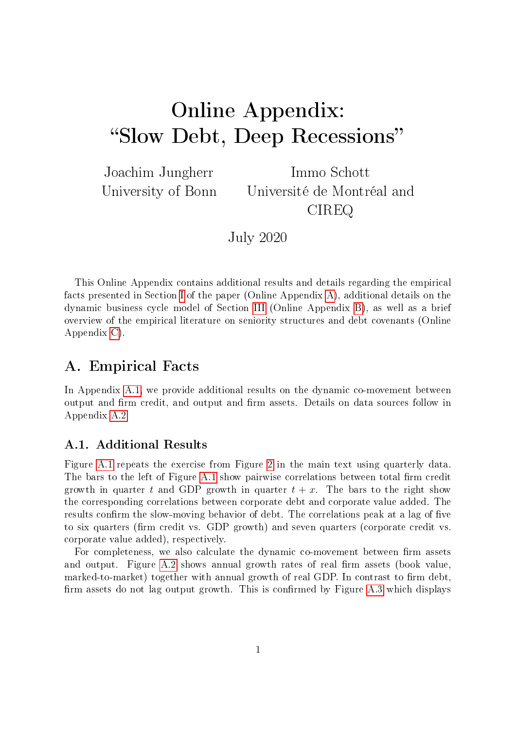# <span id="page-0-2"></span>Online Appendix: "Slow Debt, Deep Recessions"

Joachim Jungherr University of Bonn

Immo Schott Université de Montréal and CIREQ

July 2020

This Online Appendix contains additional results and details regarding the empirical facts presented in Section I of the paper (Online Appendix [A\)](#page-0-0), additional details on the dynamic business cycle model of Section III (Online Appendix [B\)](#page-3-0), as well as a brief overview of the empirical literature on seniority structures and debt covenants (Online Appendix [C\)](#page-16-0).

# <span id="page-0-0"></span>A. Empirical Facts

In Appendix [A.1,](#page-0-1) we provide additional results on the dynamic co-movement between output and firm credit, and output and firm assets. Details on data sources follow in Appendix [A.2.](#page-1-0)

# <span id="page-0-1"></span>A.1. Additional Results

Figure [A.1](#page-1-1) repeats the exercise from Figure 2 in the main text using quarterly data. The bars to the left of Figure [A.1](#page-1-1) show pairwise correlations between total firm credit growth in quarter t and GDP growth in quarter  $t + x$ . The bars to the right show the corresponding correlations between corporate debt and corporate value added. The results confirm the slow-moving behavior of debt. The correlations peak at a lag of five to six quarters (firm credit vs. GDP growth) and seven quarters (corporate credit vs. corporate value added), respectively.

For completeness, we also calculate the dynamic co-movement between firm assets and output. Figure [A.2](#page-2-0) shows annual growth rates of real firm assets (book value, marked-to-market) together with annual growth of real GDP. In contrast to firm debt, firm assets do not lag output growth. This is confirmed by Figure  $A.3$  which displays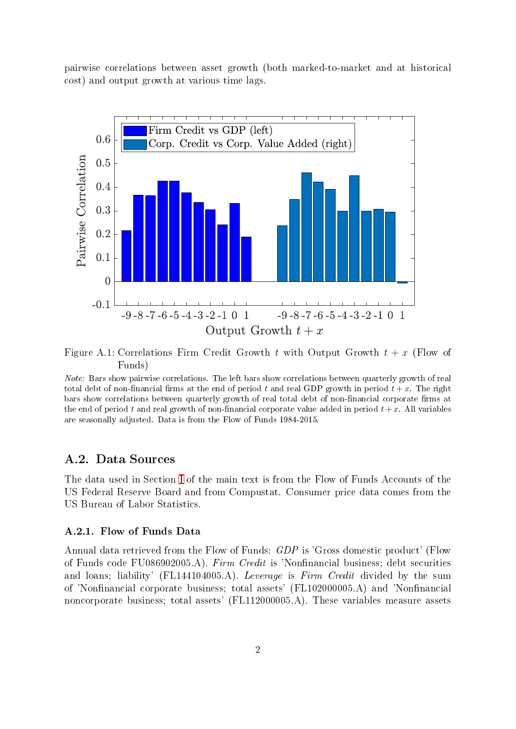pairwise correlations between asset growth (both marked-to-market and at historical cost) and output growth at various time lags.

<span id="page-1-1"></span>

Figure A.1: Correlations Firm Credit Growth t with Output Growth  $t + x$  (Flow of Funds)

Note: Bars show pairwise correlations. The left bars show correlations between quarterly growth of real total debt of non-financial firms at the end of period t and real GDP growth in period  $t + x$ . The right bars show correlations between quarterly growth of real total debt of non-financial corporate firms at the end of period t and real growth of non-financial corporate value added in period  $t+x$ . All variables are seasonally adjusted. Data is from the Flow of Funds 1984-2015.

## <span id="page-1-0"></span>A.2. Data Sources

The data used in Section [I](#page-0-2) of the main text is from the Flow of Funds Accounts of the US Federal Reserve Board and from Compustat. Consumer price data comes from the US Bureau of Labor Statistics.

### A.2.1. Flow of Funds Data

Annual data retrieved from the Flow of Funds: GDP is 'Gross domestic product' (Flow of Funds code FU086902005.A). Firm Credit is 'Nonfinancial business; debt securities and loans; liability' (FL144104005.A). Leverage is Firm Credit divided by the sum of 'Nonfinancial corporate business; total assets' (FL102000005.A) and 'Nonfinancial noncorporate business; total assets' (FL112000005.A). These variables measure assets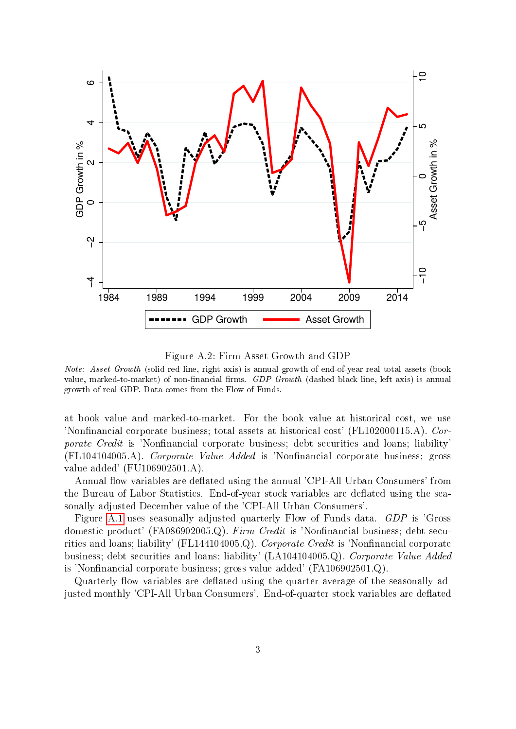<span id="page-2-0"></span>

Figure A.2: Firm Asset Growth and GDP

Note: Asset Growth (solid red line, right axis) is annual growth of end-of-year real total assets (book value, marked-to-market) of non-financial firms. GDP Growth (dashed black line, left axis) is annual growth of real GDP. Data comes from the Flow of Funds.

at book value and marked-to-market. For the book value at historical cost, we use 'Nonfinancial corporate business; total assets at historical cost' (FL102000115.A). Cor*porate Credit* is 'Nonfinancial corporate business; debt securities and loans; liability' (FL104104005.A). Corporate Value Added is 'Nonfinancial corporate business; gross value added' (FU106902501.A).

Annual flow variables are deflated using the annual 'CPI-All Urban Consumers' from the Bureau of Labor Statistics. End-of-year stock variables are deflated using the seasonally adjusted December value of the 'CPI-All Urban Consumers'.

Figure [A.1](#page-1-1) uses seasonally adjusted quarterly Flow of Funds data. GDP is 'Gross domestic product' (FA086902005.Q). Firm Credit is 'Nonfinancial business; debt securities and loans; liability' (FL144104005.Q). Corporate Credit is 'Nonfinancial corporate business; debt securities and loans; liability' (LA104104005.Q). Corporate Value Added is 'Nonfinancial corporate business; gross value added' (FA106902501.Q).

Quarterly flow variables are deflated using the quarter average of the seasonally adjusted monthly 'CPI-All Urban Consumers'. End-of-quarter stock variables are deflated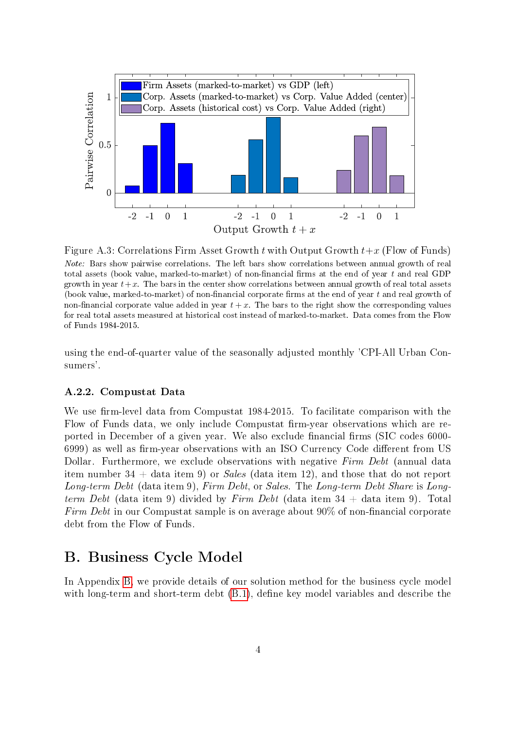<span id="page-3-1"></span>

Figure A.3: Correlations Firm Asset Growth t with Output Growth  $t+x$  (Flow of Funds) Note: Bars show pairwise correlations. The left bars show correlations between annual growth of real total assets (book value, marked-to-market) of non-financial firms at the end of year  $t$  and real GDP growth in year  $t+x$ . The bars in the center show correlations between annual growth of real total assets (book value, marked-to-market) of non-financial corporate firms at the end of year  $t$  and real growth of non-financial corporate value added in year  $t + x$ . The bars to the right show the corresponding values for real total assets measured at historical cost instead of marked-to-market. Data comes from the Flow of Funds 1984-2015.

using the end-of-quarter value of the seasonally adjusted monthly 'CPI-All Urban Consumers'.

#### A.2.2. Compustat Data

We use firm-level data from Compustat 1984-2015. To facilitate comparison with the Flow of Funds data, we only include Compustat firm-year observations which are reported in December of a given year. We also exclude financial firms (SIC codes 6000-6999) as well as firm-year observations with an ISO Currency Code different from US Dollar. Furthermore, we exclude observations with negative Firm Debt (annual data item number 34 + data item 9) or *Sales* (data item 12), and those that do not report Long-term Debt (data item 9), Firm Debt, or Sales. The Long-term Debt Share is Longterm Debt (data item 9) divided by Firm Debt (data item 34 + data item 9). Total Firm Debt in our Compustat sample is on average about  $90\%$  of non-financial corporate debt from the Flow of Funds.

# <span id="page-3-0"></span>B. Business Cycle Model

In Appendix [B,](#page-3-0) we provide details of our solution method for the business cycle model with long-term and short-term debt  $(B.1)$ , define key model variables and describe the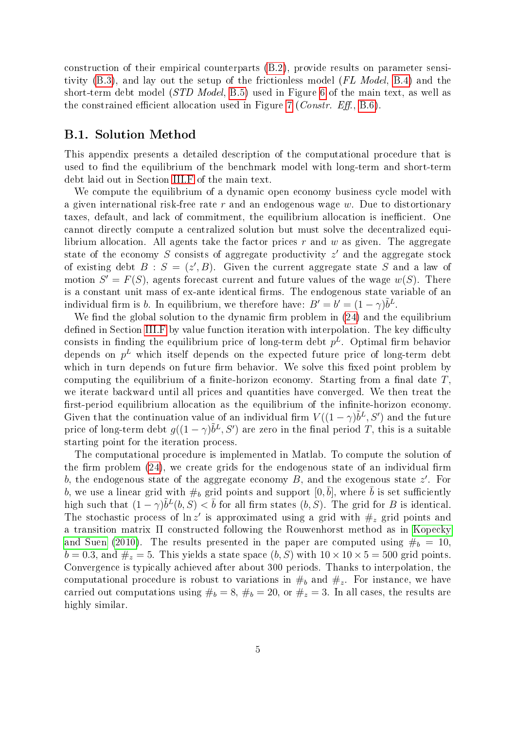construction of their empirical counterparts [\(B.2\)](#page-7-0), provide results on parameter sensitivity [\(B.3\)](#page-10-0), and lay out the setup of the frictionless model (FL Model, [B.4\)](#page-12-0) and the short-term debt model (STD Model, [B.5\)](#page-14-0) used in Figure [6](#page-0-2) of the main text, as well as the constrained efficient allocation used in Figure [7](#page-0-2) (*Constr. Eff.*, [B.6\)](#page-15-0).

## <span id="page-4-0"></span>B.1. Solution Method

This appendix presents a detailed description of the computational procedure that is used to find the equilibrium of the benchmark model with long-term and short-term debt laid out in Section [III.F](#page-0-2) of the main text.

We compute the equilibrium of a dynamic open economy business cycle model with a given international risk-free rate  $r$  and an endogenous wage  $w$ . Due to distortionary taxes, default, and lack of commitment, the equilibrium allocation is inefficient. One cannot directly compute a centralized solution but must solve the decentralized equilibrium allocation. All agents take the factor prices  $r$  and  $w$  as given. The aggregate state of the economy S consists of aggregate productivity  $z'$  and the aggregate stock of existing debt  $B : S = (z', B)$ . Given the current aggregate state S and a law of motion  $S' = F(S)$ , agents forecast current and future values of the wage  $w(S)$ . There is a constant unit mass of ex-ante identical firms. The endogenous state variable of an individual firm is b. In equilibrium, we therefore have:  $B' = b' = (1 - \gamma)\tilde{b}^L$ .

We find the global solution to the dynamic firm problem in  $(24)$  and the equilibrium defined in Section [III.F](#page-0-2) by value function iteration with interpolation. The key difficulty consists in finding the equilibrium price of long-term debt  $p^L$ . Optimal firm behavior depends on  $p^L$  which itself depends on the expected future price of long-term debt which in turn depends on future firm behavior. We solve this fixed point problem by computing the equilibrium of a finite-horizon economy. Starting from a final date  $T$ , we iterate backward until all prices and quantities have converged. We then treat the first-period equilibrium allocation as the equilibrium of the infinite-horizon economy. Given that the continuation value of an individual firm  $V((1 - \gamma)\tilde{b}^L, S')$  and the future price of long-term debt  $g((1 - \gamma)\tilde{b}^L, S')$  are zero in the final period T, this is a suitable starting point for the iteration process.

The computational procedure is implemented in Matlab. To compute the solution of the firm problem  $(24)$ , we create grids for the endogenous state of an individual firm b, the endogenous state of the aggregate economy  $B$ , and the exogenous state  $z'$ . For b, we use a linear grid with  $\#_b$  grid points and support  $[0, \bar{b}]$ , where  $\bar{b}$  is set sufficiently high such that  $(1 - \gamma)\tilde{b}^L(b, S) < \bar{b}$  for all firm states  $(b, S)$ . The grid for B is identical. The stochastic process of  $\ln z'$  is approximated using a grid with  $\#_z$  grid points and a transition matrix Π constructed following the Rouwenhorst method as in [Kopecky](#page-17-0) [and Suen](#page-17-0) [\(2010\)](#page-17-0). The results presented in the paper are computed using  $\#_b = 10$ ,  $b = 0.3$ , and  $\#_z = 5$ . This yields a state space  $(b, S)$  with  $10 \times 10 \times 5 = 500$  grid points. Convergence is typically achieved after about 300 periods. Thanks to interpolation, the computational procedure is robust to variations in  $\#_b$  and  $\#_z$ . For instance, we have carried out computations using  $\#_b = 8$ ,  $\#_b = 20$ , or  $\#_z = 3$ . In all cases, the results are highly similar.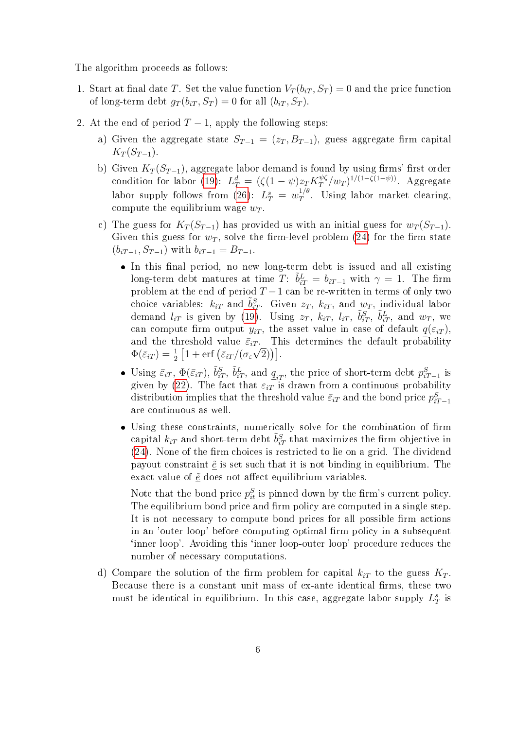The algorithm proceeds as follows:

- 1. Start at final date T. Set the value function  $V_T(b_{iT}, S_T) = 0$  and the price function of long-term debt  $g_T(b_{iT}, S_T) = 0$  for all  $(b_{iT}, S_T)$ .
- <span id="page-5-0"></span>2. At the end of period  $T-1$ , apply the following steps:
	- a) Given the aggregate state  $S_{T-1} = (z_T, B_{T-1})$ , guess aggregate firm capital  $K_T(S_{T-1}).$
	- b) Given  $K_T(S_{T-1})$ , aggregate labor demand is found by using firms' first order condition for labor [\(19\)](#page-0-2):  $L_T^d = (\zeta(1-\psi)z_T K_T^{\psi\zeta})$  $T^{ \psi \zeta } / w_T )^{1/(1-\zeta(1-\psi))}$ . Aggregate labor supply follows from [\(26\)](#page-0-2):  $L_T^s = w_T^{1/\theta}$  $T^{1/\theta}$ . Using labor market clearing, compute the equilibrium wage  $w_T$ .
	- c) The guess for  $K_T(S_{T-1})$  has provided us with an initial guess for  $w_T(S_{T-1})$ . Given this guess for  $w_T$ , solve the firm-level problem [\(24\)](#page-0-2) for the firm state  $(b_{iT-1}, S_{T-1})$  with  $b_{iT-1} = B_{T-1}$ .
		- In this final period, no new long-term debt is issued and all existing long-term debt matures at time  $T: \tilde{b}_{iT}^L = b_{iT-1}$  with  $\gamma = 1$ . The firm problem at the end of period  $T-1$  can be re-written in terms of only two choice variables:  $k_{iT}$  and  $\tilde{b}_{iT}^S$ . Given  $z_T$ ,  $k_{iT}$ , and  $w_T$ , individual labor demand  $l_{iT}$  is given by [\(19\)](#page-0-2). Using  $z_T$ ,  $k_{iT}$ ,  $l_{iT}$ ,  $\tilde{b}_{iT}^S$ ,  $\tilde{b}_{iT}^L$ , and  $w_T$ , we can compute firm output  $y_{iT}$ , the asset value in case of default  $q(\varepsilon_{iT})$ , and the threshold value  $\bar{\varepsilon}_{iT}$ . This determines the default probability  $\Phi(\bar{\varepsilon}_{iT}) = \frac{1}{2} \left[ 1 + \text{erf} \left( \bar{\varepsilon}_{iT} / (\sigma_{\varepsilon} \sqrt{2}) \right) \right].$
		- Using  $\bar{\varepsilon}_{iT}$ ,  $\Phi(\bar{\varepsilon}_{iT})$ ,  $\tilde{b}_{iT}^S$ ,  $\tilde{b}_{iT}^L$ , and  $q_{iT}$ , the price of short-term debt  $p_{iT-1}^S$  is given by [\(22\)](#page-0-2). The fact that  $\varepsilon_{iT}^{\frac{2t}{t}}$  is drawn from a continuous probability distribution implies that the threshold value  $\bar{\varepsilon}_{iT}$  and the bond price  $p_{iT-1}^S$ are continuous as well.
		- Using these constraints, numerically solve for the combination of firm capital  $k_{iT}$  and short-term debt  $\tilde{b}_{iT}^S$  that maximizes the firm objective in  $(24)$ . None of the firm choices is restricted to lie on a grid. The dividend payout constraint  $\tilde{e}$  is set such that it is not binding in equilibrium. The exact value of  $\tilde{e}$  does not affect equilibrium variables.

Note that the bond price  $p_{it}^S$  is pinned down by the firm's current policy. The equilibrium bond price and firm policy are computed in a single step. It is not necessary to compute bond prices for all possible firm actions in an 'outer loop' before computing optimal firm policy in a subsequent `inner loop'. Avoiding this `inner loop-outer loop' procedure reduces the number of necessary computations.

d) Compare the solution of the firm problem for capital  $k_{iT}$  to the guess  $K_T$ . Because there is a constant unit mass of ex-ante identical firms, these two must be identical in equilibrium. In this case, aggregate labor supply  $L_T^s$  is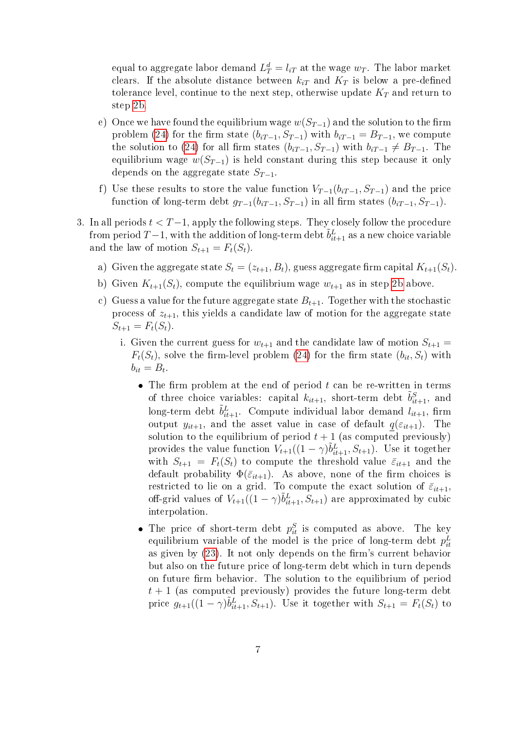equal to aggregate labor demand  $L_T^d = l_{iT}$  at the wage  $w_T$ . The labor market clears. If the absolute distance between  $k_{iT}$  and  $K_T$  is below a pre-defined tolerance level, continue to the next step, otherwise update  $K_T$  and return to step [2b.](#page-5-0)

- e) Once we have found the equilibrium wage  $w(S_{T-1})$  and the solution to the firm problem [\(24\)](#page-0-2) for the firm state  $(b_{iT-1}, S_{T-1})$  with  $b_{iT-1} = B_{T-1}$ , we compute the solution to [\(24\)](#page-0-2) for all firm states  $(b_{iT-1}, S_{T-1})$  with  $b_{iT-1} \neq B_{T-1}$ . The equilibrium wage  $w(S_{T-1})$  is held constant during this step because it only depends on the aggregate state  $S_{T-1}$ .
- f) Use these results to store the value function  $V_{T-1}(b_{iT-1}, S_{T-1})$  and the price function of long-term debt  $g_{T-1}(b_{iT-1}, S_{T-1})$  in all firm states  $(b_{iT-1}, S_{T-1})$ .
- <span id="page-6-1"></span><span id="page-6-0"></span>3. In all periods  $t < T-1$ , apply the following steps. They closely follow the procedure from period  $T-1$ , with the addition of long-term debt  $\tilde{b}^L_{it+1}$  as a new choice variable and the law of motion  $S_{t+1} = F_t(S_t)$ .
	- a) Given the aggregate state  $S_t = (z_{t+1}, B_t)$ , guess aggregate firm capital  $K_{t+1}(S_t)$ .
	- b) Given  $K_{t+1}(S_t)$ , compute the equilibrium wage  $w_{t+1}$  as in step [2b](#page-5-0) above.
	- c) Guess a value for the future aggregate state  $B_{t+1}$ . Together with the stochastic process of  $z_{t+1}$ , this yields a candidate law of motion for the aggregate state  $S_{t+1} = F_t(S_t).$ 
		- i. Given the current guess for  $w_{t+1}$  and the candidate law of motion  $S_{t+1}$  =  $F_t(S_t)$ , solve the firm-level problem [\(24\)](#page-0-2) for the firm state  $(b_{it}, S_t)$  with  $b_{it} = B_t.$ 
			- The firm problem at the end of period  $t$  can be re-written in terms of three choice variables: capital  $k_{it+1}$ , short-term debt  $\tilde{b}_{it+1}^S$ , and long-term debt  $\tilde{b}^L_{it+1}$ . Compute individual labor demand  $l_{it+1}$ , firm output  $y_{it+1}$ , and the asset value in case of default  $q(\varepsilon_{it+1})$ . The solution to the equilibrium of period  $t + 1$  (as computed previously) provides the value function  $V_{t+1}((1 - \gamma)\tilde{b}_{it+1}^L, S_{t+1})$ . Use it together with  $S_{t+1} = F_t(S_t)$  to compute the threshold value  $\bar{\varepsilon}_{it+1}$  and the default probability  $\Phi(\bar{\varepsilon}_{it+1})$ . As above, none of the firm choices is restricted to lie on a grid. To compute the exact solution of  $\bar{\varepsilon}_{it+1}$ , off-grid values of  $V_{t+1}((1 - \gamma)\tilde{b}_{it+1}^L, S_{t+1})$  are approximated by cubic interpolation.
			- The price of short-term debt  $p_{it}^S$  is computed as above. The key equilibrium variable of the model is the price of long-term debt  $p_{it}^L$ as given by  $(23)$ . It not only depends on the firm's current behavior but also on the future price of long-term debt which in turn depends on future firm behavior. The solution to the equilibrium of period  $t + 1$  (as computed previously) provides the future long-term debt price  $g_{t+1}((1 - \gamma)\tilde{b}_{it+1}^L, S_{t+1})$ . Use it together with  $S_{t+1} = F_t(S_t)$  to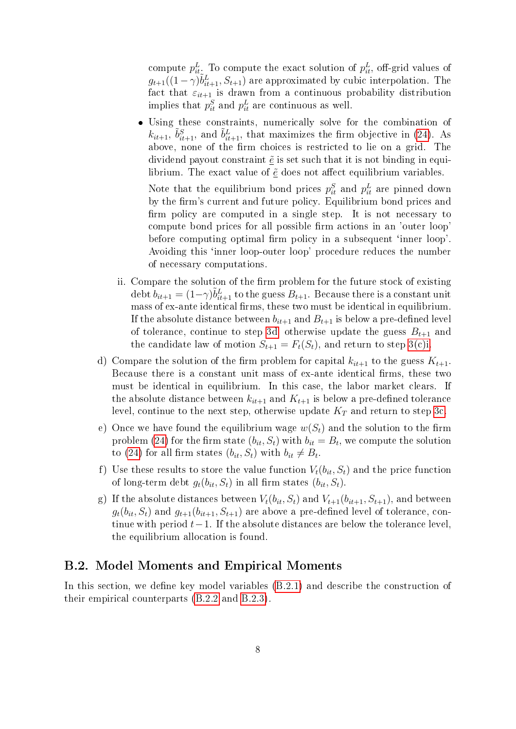compute  $p_{it\cdot}^L$ . To compute the exact solution of  $p_{it}^L$ , off-grid values of  $g_{t+1}((1-\gamma)\tilde{b}_{it+1}^L, S_{t+1})$  are approximated by cubic interpolation. The fact that  $\varepsilon_{it+1}$  is drawn from a continuous probability distribution implies that  $p_{it}^S$  and  $p_{it}^L$  are continuous as well.

 Using these constraints, numerically solve for the combination of  $k_{it+1}$ ,  $\tilde{b}_{it+1}^S$ , and  $\tilde{b}_{it+1}^L$ , that maximizes the firm objective in [\(24\)](#page-0-2). As above, none of the firm choices is restricted to lie on a grid. The dividend payout constraint  $\tilde{e}$  is set such that it is not binding in equilibrium. The exact value of  $\tilde{e}$  does not affect equilibrium variables.

Note that the equilibrium bond prices  $p_{it}^S$  and  $p_{it}^L$  are pinned down by the firm's current and future policy. Equilibrium bond prices and firm policy are computed in a single step. It is not necessary to compute bond prices for all possible firm actions in an 'outer loop' before computing optimal firm policy in a subsequent 'inner loop'. Avoiding this 'inner loop-outer loop' procedure reduces the number of necessary computations.

- ii. Compare the solution of the firm problem for the future stock of existing debt  $b_{it+1} = (1-\gamma)\tilde{b}_{it+1}^L$  to the guess  $B_{t+1}$ . Because there is a constant unit mass of ex-ante identical firms, these two must be identical in equilibrium. If the absolute distance between  $b_{it+1}$  and  $B_{t+1}$  is below a pre-defined level of tolerance, continue to step [3d,](#page-7-1) otherwise update the guess  $B_{t+1}$  and the candidate law of motion  $S_{t+1} = F_t(S_t)$ , and return to step [3\(c\)i.](#page-6-0)
- <span id="page-7-1"></span>d) Compare the solution of the firm problem for capital  $k_{it+1}$  to the guess  $K_{t+1}$ . Because there is a constant unit mass of ex-ante identical firms, these two must be identical in equilibrium. In this case, the labor market clears. If the absolute distance between  $k_{it+1}$  and  $K_{t+1}$  is below a pre-defined tolerance level, continue to the next step, otherwise update  $K_T$  and return to step [3c.](#page-6-1)
- e) Once we have found the equilibrium wage  $w(S_t)$  and the solution to the firm problem [\(24\)](#page-0-2) for the firm state  $(b_{it}, S_t)$  with  $b_{it} = B_t$ , we compute the solution to [\(24\)](#page-0-2) for all firm states  $(b_{it}, S_t)$  with  $b_{it} \neq B_t$ .
- f) Use these results to store the value function  $V_t(b_{it}, S_t)$  and the price function of long-term debt  $q_t(b_{it}, S_t)$  in all firm states  $(b_{it}, S_t)$ .
- g) If the absolute distances between  $V_t(b_{it}, S_t)$  and  $V_{t+1}(b_{it+1}, S_{t+1})$ , and between  $g_t(b_{it}, S_t)$  and  $g_{t+1}(b_{it+1}, S_{t+1})$  are above a pre-defined level of tolerance, continue with period  $t-1$ . If the absolute distances are below the tolerance level. the equilibrium allocation is found.

## <span id="page-7-0"></span>B.2. Model Moments and Empirical Moments

In this section, we define key model variables [\(B.2.1\)](#page-8-0) and describe the construction of their empirical counterparts [\(B.2.2](#page-9-0) and [B.2.3\)](#page-9-1).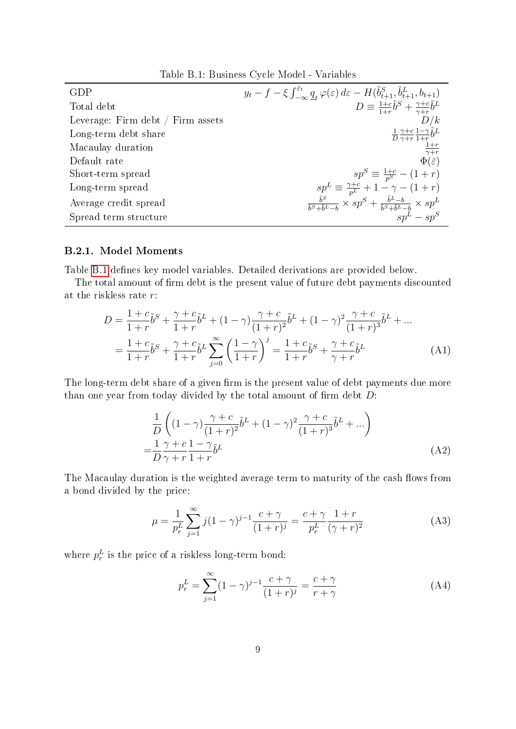Table B.1: Business Cycle Model - Variables

<span id="page-8-1"></span>

| GDP                               | $y_t - f - \xi \int_{-\infty}^{\varepsilon_t} \underline{q}_t \varphi(\varepsilon) d\varepsilon - H(\tilde{b}_{t+1}^S, \tilde{b}_{t+1}^L, b_{t+1})$ |
|-----------------------------------|-----------------------------------------------------------------------------------------------------------------------------------------------------|
| Total debt                        | $D \equiv \frac{1+c}{1+r}\tilde{b}^S + \frac{\gamma+c}{\gamma+r}\tilde{b}^L$                                                                        |
| Leverage: Firm debt / Firm assets |                                                                                                                                                     |
| Long-term debt share              | $\begin{array}{c}\frac{1}{D}\frac{\gamma+c}{\gamma+r}\frac{1-\gamma}{1+r}\tilde{b}^{L}\\ \frac{1+r}{\gamma+r}\\ \Phi(\bar{\varepsilon})\end{array}$ |
| Macaulay duration                 |                                                                                                                                                     |
| Default rate                      |                                                                                                                                                     |
| Short-term spread                 | $sp^S \equiv \frac{1+c}{p^S} - (1+r)$                                                                                                               |
| Long-term spread                  | $sp^L \equiv \frac{\gamma + c}{p^L} + 1 - \gamma - (1 + r)$                                                                                         |
| Average credit spread             | $\frac{\tilde{b}^S}{\tilde{b}^S+\tilde{b}^L-b} \times sp^S + \frac{\tilde{b}^L-b}{\tilde{b}^S+\tilde{b}^L-b} \times sp^L$                           |
| Spread term structure             | $\int^b s v \, dx - s v^S$                                                                                                                          |

#### <span id="page-8-0"></span>B.2.1. Model Moments

Table [B.1](#page-8-1) defines key model variables. Detailed derivations are provided below.

The total amount of firm debt is the present value of future debt payments discounted at the riskless rate r:

$$
D = \frac{1+c}{1+r}\tilde{b}^{S} + \frac{\gamma+c}{1+r}\tilde{b}^{L} + (1-\gamma)\frac{\gamma+c}{(1+r)^{2}}\tilde{b}^{L} + (1-\gamma)^{2}\frac{\gamma+c}{(1+r)^{3}}\tilde{b}^{L} + ...
$$
  

$$
= \frac{1+c}{1+r}\tilde{b}^{S} + \frac{\gamma+c}{1+r}\tilde{b}^{L} \sum_{j=0}^{\infty} \left(\frac{1-\gamma}{1+r}\right)^{j} = \frac{1+c}{1+r}\tilde{b}^{S} + \frac{\gamma+c}{\gamma+r}\tilde{b}^{L} \tag{A1}
$$

The long-term debt share of a given firm is the present value of debt payments due more than one year from today divided by the total amount of firm debt  $D$ :

$$
\frac{1}{D} \left( (1 - \gamma) \frac{\gamma + c}{(1 + r)^2} \tilde{b}^L + (1 - \gamma)^2 \frac{\gamma + c}{(1 + r)^3} \tilde{b}^L + \dots \right)
$$
\n
$$
= \frac{1}{D} \frac{\gamma + c}{\gamma + r} \frac{1 - \gamma}{1 + r} \tilde{b}^L
$$
\n(A2)

The Macaulay duration is the weighted average term to maturity of the cash flows from a bond divided by the price:

$$
\mu = \frac{1}{p_r^L} \sum_{j=1}^{\infty} j(1 - \gamma)^{j-1} \frac{c + \gamma}{(1+r)^j} = \frac{c + \gamma}{p_r^L} \frac{1+r}{(\gamma+r)^2}
$$
(A3)

where  $p_r^L$  is the price of a riskless long-term bond:

$$
p_r^L = \sum_{j=1}^{\infty} (1 - \gamma)^{j-1} \frac{c + \gamma}{(1+r)^j} = \frac{c + \gamma}{r + \gamma}
$$
 (A4)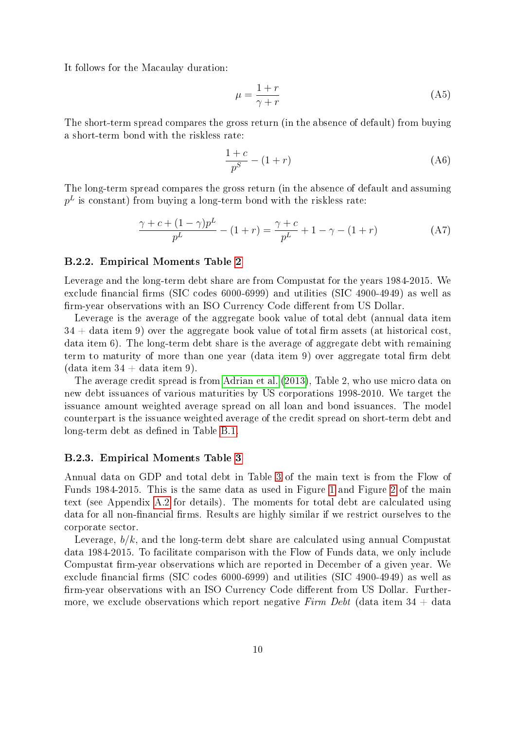It follows for the Macaulay duration:

$$
\mu = \frac{1+r}{\gamma+r} \tag{A5}
$$

The short-term spread compares the gross return (in the absence of default) from buying a short-term bond with the riskless rate:

$$
\frac{1+c}{p^S} - (1+r)
$$
\n<sup>(A6)</sup>

The long-term spread compares the gross return (in the absence of default and assuming  $p^L$  is constant) from buying a long-term bond with the riskless rate:

$$
\frac{\gamma + c + (1 - \gamma)p^L}{p^L} - (1 + r) = \frac{\gamma + c}{p^L} + 1 - \gamma - (1 + r)
$$
 (A7)

#### <span id="page-9-0"></span>B.2.2. Empirical Moments Table [2](#page-0-2)

Leverage and the long-term debt share are from Compustat for the years 1984-2015. We exclude financial firms (SIC codes  $6000-6999$ ) and utilities (SIC 4900-4949) as well as firm-year observations with an ISO Currency Code different from US Dollar.

Leverage is the average of the aggregate book value of total debt (annual data item  $34 +$  data item 9) over the aggregate book value of total firm assets (at historical cost, data item 6). The long-term debt share is the average of aggregate debt with remaining term to maturity of more than one year (data item 9) over aggregate total firm debt  $(data item 34 + data item 9).$ 

The average credit spread is from [Adrian et al.](#page-17-1) [\(2013\)](#page-17-1), Table 2, who use micro data on new debt issuances of various maturities by US corporations 1998-2010. We target the issuance amount weighted average spread on all loan and bond issuances. The model counterpart is the issuance weighted average of the credit spread on short-term debt and long-term debt as defined in Table [B.1.](#page-8-1)

#### <span id="page-9-1"></span>B.2.3. Empirical Moments Table [3](#page-0-2)

Annual data on GDP and total debt in Table [3](#page-0-2) of the main text is from the Flow of Funds 1984-2015. This is the same data as used in Figure [1](#page-0-2) and Figure [2](#page-0-2) of the main text (see Appendix [A.2](#page-1-0) for details). The moments for total debt are calculated using data for all non-financial firms. Results are highly similar if we restrict ourselves to the corporate sector.

Leverage,  $b/k$ , and the long-term debt share are calculated using annual Compustat data 1984-2015. To facilitate comparison with the Flow of Funds data, we only include Compustat firm-year observations which are reported in December of a given year. We exclude financial firms (SIC codes  $6000-6999$ ) and utilities (SIC 4900-4949) as well as firm-year observations with an ISO Currency Code different from US Dollar. Furthermore, we exclude observations which report negative Firm Debt (data item  $34 + \text{data}$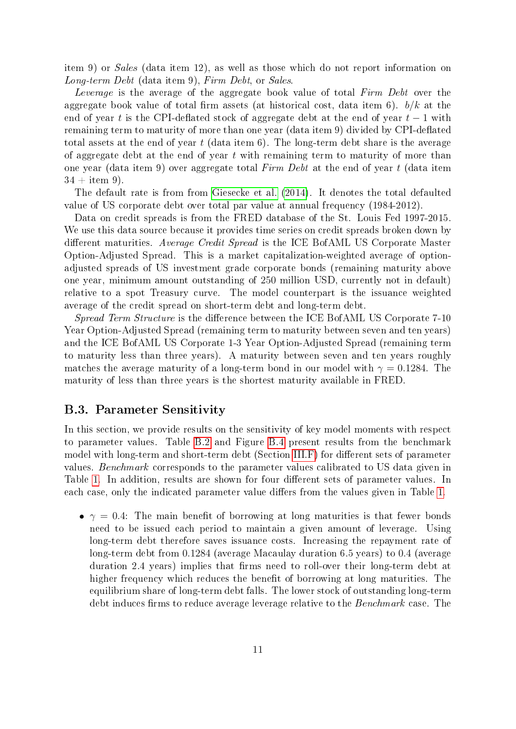item 9) or Sales (data item 12), as well as those which do not report information on Long-term Debt (data item 9), Firm Debt, or Sales.

Leverage is the average of the aggregate book value of total Firm Debt over the aggregate book value of total firm assets (at historical cost, data item 6).  $b/k$  at the end of year t is the CPI-deflated stock of aggregate debt at the end of year  $t-1$  with remaining term to maturity of more than one year (data item 9) divided by CPI-deflated total assets at the end of year  $t$  (data item 6). The long-term debt share is the average of aggregate debt at the end of year  $t$  with remaining term to maturity of more than one year (data item 9) over aggregate total Firm Debt at the end of year t (data item  $34 + i$ tem 9).

The default rate is from from [Giesecke et al.](#page-17-2) [\(2014\)](#page-17-2). It denotes the total defaulted value of US corporate debt over total par value at annual frequency (1984-2012).

Data on credit spreads is from the FRED database of the St. Louis Fed 1997-2015. We use this data source because it provides time series on credit spreads broken down by different maturities. Average Credit Spread is the ICE BofAML US Corporate Master Option-Adjusted Spread. This is a market capitalization-weighted average of optionadjusted spreads of US investment grade corporate bonds (remaining maturity above one year, minimum amount outstanding of 250 million USD, currently not in default) relative to a spot Treasury curve. The model counterpart is the issuance weighted average of the credit spread on short-term debt and long-term debt.

Spread Term Structure is the difference between the ICE BofAML US Corporate 7-10 Year Option-Adjusted Spread (remaining term to maturity between seven and ten years) and the ICE BofAML US Corporate 1-3 Year Option-Adjusted Spread (remaining term to maturity less than three years). A maturity between seven and ten years roughly matches the average maturity of a long-term bond in our model with  $\gamma = 0.1284$ . The maturity of less than three years is the shortest maturity available in FRED.

#### <span id="page-10-0"></span>B.3. Parameter Sensitivity

In this section, we provide results on the sensitivity of key model moments with respect to parameter values. Table [B.2](#page-11-0) and Figure [B.4](#page-11-1) present results from the benchmark model with long-term and short-term debt (Section  $III.F$ ) for different sets of parameter values. Benchmark corresponds to the parameter values calibrated to US data given in Table [1.](#page-0-2) In addition, results are shown for four different sets of parameter values. In each case, only the indicated parameter value differs from the values given in Table [1.](#page-0-2)

•  $\gamma = 0.4$ : The main benefit of borrowing at long maturities is that fewer bonds need to be issued each period to maintain a given amount of leverage. Using long-term debt therefore saves issuance costs. Increasing the repayment rate of long-term debt from 0.1284 (average Macaulay duration 6.5 years) to 0.4 (average duration 2.4 years) implies that firms need to roll-over their long-term debt at higher frequency which reduces the benefit of borrowing at long maturities. The equilibrium share of long-term debt falls. The lower stock of outstanding long-term debt induces firms to reduce average leverage relative to the Benchmark case. The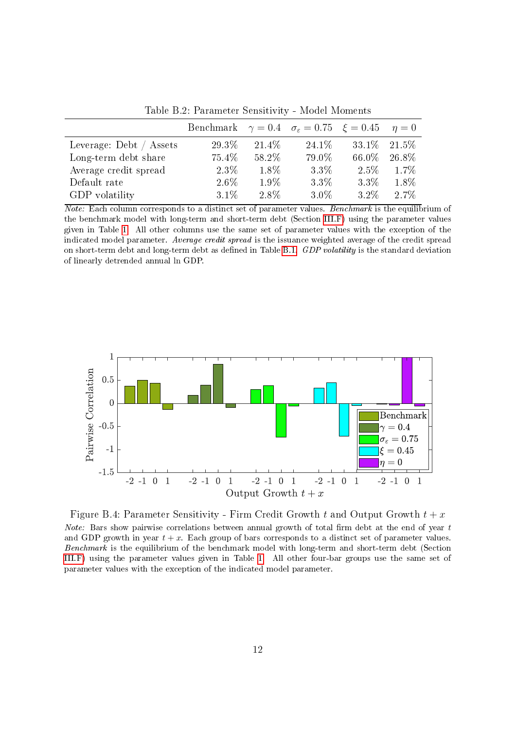<span id="page-11-0"></span>

|                         | Benchmark $\gamma = 0.4$ $\sigma_{\epsilon} = 0.75$ $\xi = 0.45$ $\eta = 0$ |         |         |        |         |
|-------------------------|-----------------------------------------------------------------------------|---------|---------|--------|---------|
| Leverage: Debt / Assets | 29.3%                                                                       | 21.4\%  | 24.1\%  | 33.1\% | 21.5%   |
| Long-term debt share    | 75.4%                                                                       | 58.2%   | 79.0%   | 66.0%  | 26.8%   |
| Average credit spread   | $2.3\%$                                                                     | $1.8\%$ | $3.3\%$ | 2.5%   | 1.7%    |
| Default rate            | $2.6\%$                                                                     | $1.9\%$ | $3.3\%$ | 3.3%   | $1.8\%$ |
| GDP volatility          | $3.1\%$                                                                     | 2.8%    | $3.0\%$ | 3.2%   | 2.7%    |

Table B.2: Parameter Sensitivity - Model Moments

Note: Each column corresponds to a distinct set of parameter values. Benchmark is the equilibrium of the benchmark model with long-term and short-term debt (Section [III.F\)](#page-0-2) using the parameter values given in Table [1.](#page-0-2) All other columns use the same set of parameter values with the exception of the indicated model parameter. Average credit spread is the issuance weighted average of the credit spread on short-term debt and long-term debt as defined in Table [B.1.](#page-8-1) GDP volatility is the standard deviation of linearly detrended annual ln GDP.

<span id="page-11-1"></span>

Figure B.4: Parameter Sensitivity - Firm Credit Growth t and Output Growth  $t + x$ *Note:* Bars show pairwise correlations between annual growth of total firm debt at the end of year  $t$ and GDP growth in year  $t + x$ . Each group of bars corresponds to a distinct set of parameter values. Benchmark is the equilibrium of the benchmark model with long-term and short-term debt (Section [III.F\)](#page-0-2) using the parameter values given in Table [1.](#page-0-2) All other four-bar groups use the same set of parameter values with the exception of the indicated model parameter.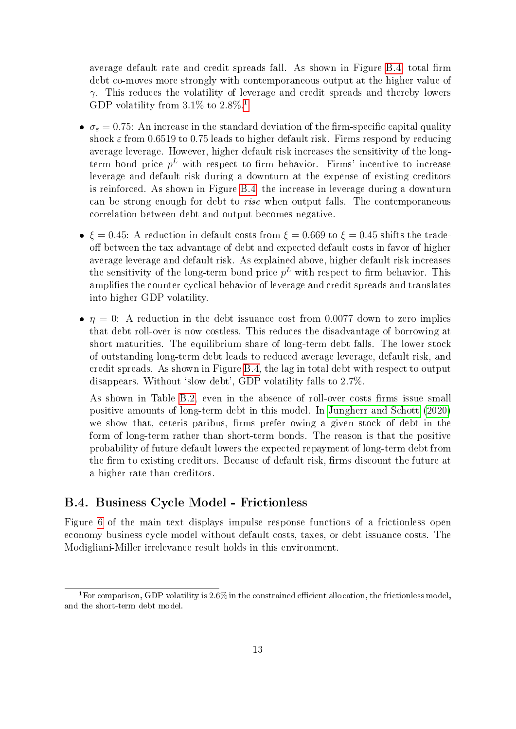average default rate and credit spreads fall. As shown in Figure [B.4,](#page-11-1) total firm debt co-moves more strongly with contemporaneous output at the higher value of  $\gamma$ . This reduces the volatility of leverage and credit spreads and thereby lowers GDP volatility from  $3.1\%$  $3.1\%$  $3.1\%$  to  $2.8\%$ .<sup>1</sup>

- $\bullet \ \sigma_{\varepsilon} = 0.75$ : An increase in the standard deviation of the firm-specific capital quality shock  $\varepsilon$  from 0.6519 to 0.75 leads to higher default risk. Firms respond by reducing average leverage. However, higher default risk increases the sensitivity of the longterm bond price  $p^L$  with respect to firm behavior. Firms' incentive to increase leverage and default risk during a downturn at the expense of existing creditors is reinforced. As shown in Figure [B.4,](#page-11-1) the increase in leverage during a downturn can be strong enough for debt to rise when output falls. The contemporaneous correlation between debt and output becomes negative.
- $\xi = 0.45$ : A reduction in default costs from  $\xi = 0.669$  to  $\xi = 0.45$  shifts the tradeoff between the tax advantage of debt and expected default costs in favor of higher average leverage and default risk. As explained above, higher default risk increases the sensitivity of the long-term bond price  $p<sup>L</sup>$  with respect to firm behavior. This amplifies the counter-cyclical behavior of leverage and credit spreads and translates into higher GDP volatility.
- $\bullet$   $\eta = 0$ : A reduction in the debt issuance cost from 0.0077 down to zero implies that debt roll-over is now costless. This reduces the disadvantage of borrowing at short maturities. The equilibrium share of long-term debt falls. The lower stock of outstanding long-term debt leads to reduced average leverage, default risk, and credit spreads. As shown in Figure [B.4,](#page-11-1) the lag in total debt with respect to output disappears. Without 'slow debt', GDP volatility falls to 2.7%.

As shown in Table [B.2,](#page-11-0) even in the absence of roll-over costs firms issue small positive amounts of long-term debt in this model. In [Jungherr and Schott](#page-17-3) [\(2020\)](#page-17-3) we show that, ceteris paribus, firms prefer owing a given stock of debt in the form of long-term rather than short-term bonds. The reason is that the positive probability of future default lowers the expected repayment of long-term debt from the firm to existing creditors. Because of default risk, firms discount the future at a higher rate than creditors.

## <span id="page-12-0"></span>B.4. Business Cycle Model - Frictionless

Figure [6](#page-0-2) of the main text displays impulse response functions of a frictionless open economy business cycle model without default costs, taxes, or debt issuance costs. The Modigliani-Miller irrelevance result holds in this environment.

<span id="page-12-1"></span><sup>&</sup>lt;sup>1</sup> For comparison, GDP volatility is  $2.6\%$  in the constrained efficient allocation, the frictionless model, and the short-term debt model.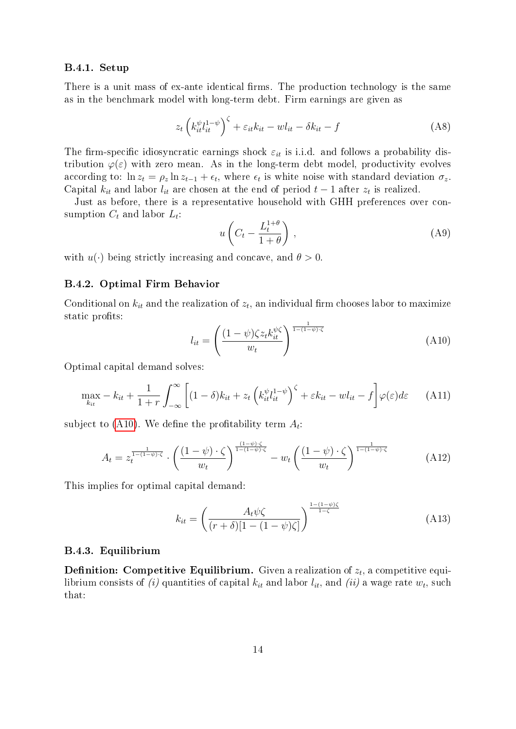#### B.4.1. Setup

There is a unit mass of ex-ante identical firms. The production technology is the same as in the benchmark model with long-term debt. Firm earnings are given as

$$
z_t \left( k_{it}^{\psi} l_{it}^{1-\psi} \right)^{\zeta} + \varepsilon_{it} k_{it} - w l_{it} - \delta k_{it} - f \tag{A8}
$$

The firm-specific idiosyncratic earnings shock  $\varepsilon_{it}$  is i.i.d. and follows a probability distribution  $\varphi(\varepsilon)$  with zero mean. As in the long-term debt model, productivity evolves according to:  $\ln z_t = \rho_z \ln z_{t-1} + \epsilon_t$ , where  $\epsilon_t$  is white noise with standard deviation  $\sigma_z$ . Capital  $k_{it}$  and labor  $l_{it}$  are chosen at the end of period  $t-1$  after  $z_t$  is realized.

Just as before, there is a representative household with GHH preferences over consumption  $C_t$  and labor  $L_t$ :

$$
u\left(C_t - \frac{L_t^{1+\theta}}{1+\theta}\right),\tag{A9}
$$

with  $u(\cdot)$  being strictly increasing and concave, and  $\theta > 0$ .

#### B.4.2. Optimal Firm Behavior

Conditional on  $k_{it}$  and the realization of  $z_t$ , an individual firm chooses labor to maximize static profits:

<span id="page-13-0"></span>
$$
l_{it} = \left(\frac{(1-\psi)\zeta z_t k_{it}^{\psi\zeta}}{w_t}\right)^{\frac{1}{1-(1-\psi)\cdot\zeta}}
$$
(A10)

Optimal capital demand solves:

$$
\max_{k_{it}} - k_{it} + \frac{1}{1+r} \int_{-\infty}^{\infty} \left[ (1-\delta)k_{it} + z_t \left( k_{it}^{\psi} l_{it}^{1-\psi} \right)^{\zeta} + \varepsilon k_{it} - w l_{it} - f \right] \varphi(\varepsilon) d\varepsilon \qquad (A11)
$$

subject to [\(A10\)](#page-13-0). We define the profitability term  $A_t$ :

$$
A_t = z_t^{\frac{1}{1-(1-\psi)\cdot\zeta}} \cdot \left(\frac{(1-\psi)\cdot\zeta}{w_t}\right)^{\frac{(1-\psi)\cdot\zeta}{1-(1-\psi)\cdot\zeta}} - w_t \left(\frac{(1-\psi)\cdot\zeta}{w_t}\right)^{\frac{1}{1-(1-\psi)\cdot\zeta}}
$$
(A12)

This implies for optimal capital demand:

<span id="page-13-1"></span>
$$
k_{it} = \left(\frac{A_t \psi \zeta}{(r+\delta)[1-(1-\psi)\zeta]}\right)^{\frac{1-(1-\psi)\zeta}{1-\zeta}}
$$
(A13)

#### B.4.3. Equilibrium

 ${\bf Definition:~ Compute~ Equilibrium.~ Given~ a~ realization~ of~}z_t,$  a competitive equilibrium consists of  $(i)$  quantities of capital  $k_{it}$  and labor  $l_{it},$  and  $\left( ii\right)$  a wage rate  $w_{t},$  such that: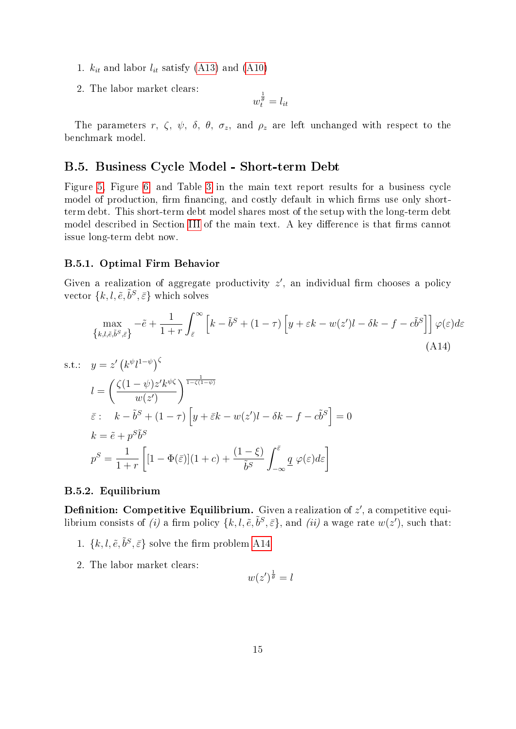- 1.  $k_{it}$  and labor  $l_{it}$  satisfy [\(A13\)](#page-13-1) and [\(A10\)](#page-13-0)
- 2. The labor market clears:

$$
w_t^{\frac{1}{\theta}} = l_{it}
$$

The parameters r,  $\zeta$ ,  $\psi$ ,  $\delta$ ,  $\theta$ ,  $\sigma_z$ , and  $\rho_z$  are left unchanged with respect to the benchmark model.

# <span id="page-14-0"></span>B.5. Business Cycle Model - Short-term Debt

Figure [5,](#page-0-2) Figure [6,](#page-0-2) and Table [3](#page-0-2) in the main text report results for a business cycle model of production, firm financing, and costly default in which firms use only shortterm debt. This short-term debt model shares most of the setup with the long-term debt model described in Section [III](#page-0-2) of the main text. A key difference is that firms cannot issue long-term debt now.

#### B.5.1. Optimal Firm Behavior

Given a realization of aggregate productivity  $z'$ , an individual firm chooses a policy vector  $\{k, l, \tilde{e}, \tilde{b}^S, \bar{\varepsilon}\}\$  which solves

$$
\max_{\{k,l,\tilde{e},\tilde{b}^S,\tilde{\varepsilon}\}} -\tilde{e} + \frac{1}{1+r} \int_{\tilde{\varepsilon}}^{\infty} \left[ k - \tilde{b}^S + (1-\tau) \left[ y + \varepsilon k - w(z')l - \delta k - f - c\tilde{b}^S \right] \right] \varphi(\varepsilon) d\varepsilon
$$
\n(A14)

s.t.: 
$$
y = z' (k^{\psi} l^{1-\psi})^{\zeta}
$$
  
\n
$$
l = \left(\frac{\zeta(1-\psi)z'k^{\psi}\zeta}{w(z')}\right)^{\frac{1}{1-\zeta(1-\psi)}}
$$
\n
$$
\bar{\varepsilon}: \quad k - \tilde{b}^{S} + (1 - \tau) \left[ y + \bar{\varepsilon}k - w(z')l - \delta k - f - c\tilde{b}^{S} \right] = 0
$$
\n
$$
k = \tilde{e} + p^{S}\tilde{b}^{S}
$$
\n
$$
p^{S} = \frac{1}{1+r} \left[ [1 - \Phi(\bar{\varepsilon})](1+c) + \frac{(1-\xi)}{\tilde{b}^{S}} \int_{-\infty}^{\bar{\varepsilon}} \underline{q} \varphi(\varepsilon) d\varepsilon \right]
$$

#### B.5.2. Equilibrium

**Definition: Competitive Equilibrium.** Given a realization of  $z'$ , a competitive equilibrium consists of (i) a firm policy  $\{k, l, \tilde{e}, \tilde{b}^S, \bar{\varepsilon}\}$ , and (ii) a wage rate  $w(z')$ , such that:

- 1.  $\{k, l, \tilde{e}, \tilde{b}^S, \bar{\varepsilon}\}$  solve the firm problem [A14](#page-14-1)
- 2. The labor market clears:

<span id="page-14-1"></span>
$$
w(z')^{\frac{1}{\theta}} = l
$$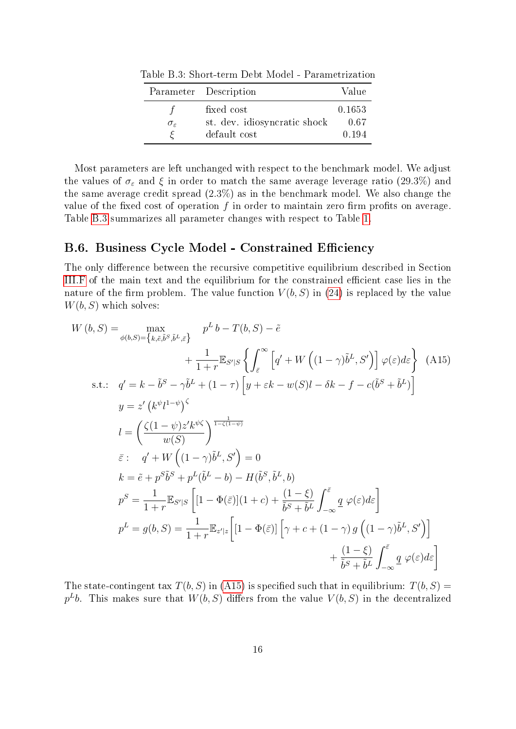<span id="page-15-1"></span>Table B.3: Short-term Debt Model - Parametrization

|                        | Parameter Description        | Value  |
|------------------------|------------------------------|--------|
|                        | fixed cost                   | 0.1653 |
| $\sigma_{\varepsilon}$ | st. dev. idiosyncratic shock | 0.67   |
|                        | default cost                 | 0.194  |

Most parameters are left unchanged with respect to the benchmark model. We adjust the values of  $\sigma_{\varepsilon}$  and  $\xi$  in order to match the same average leverage ratio (29.3%) and the same average credit spread (2.3%) as in the benchmark model. We also change the value of the fixed cost of operation f in order to maintain zero firm profits on average. Table [B.3](#page-15-1) summarizes all parameter changes with respect to Table [1.](#page-0-2)

## <span id="page-15-0"></span>B.6. Business Cycle Model - Constrained Efficiency

The only difference between the recursive competitive equilibrium described in Section [III.F](#page-0-2) of the main text and the equilibrium for the constrained efficient case lies in the nature of the firm problem. The value function  $V(b, S)$  in [\(24\)](#page-0-2) is replaced by the value  $W(b, S)$  which solves:

<span id="page-15-2"></span>
$$
W(b, S) = \max_{\phi(b, S) = \{k, \tilde{e}, \tilde{b}^S, \tilde{b}^L, \tilde{\varepsilon}\}} p^L b - T(b, S) - \tilde{e}
$$
  
+ 
$$
\frac{1}{1+r} \mathbb{E}_{S'|S} \left\{ \int_{\tilde{\varepsilon}}^{\infty} \left[ q' + W \left( (1-\gamma)\tilde{b}^L, S' \right) \right] \varphi(\varepsilon) d\varepsilon \right\} (A15)
$$
  
s.t.: 
$$
q' = k - \tilde{b}^S - \gamma \tilde{b}^L + (1-\tau) \left[ y + \varepsilon k - w(S)l - \delta k - f - c(\tilde{b}^S + \tilde{b}^L) \right]
$$
  

$$
y = z' \left( k^{\psi} l^{1-\psi} \right)^{\zeta}
$$
  

$$
l = \left( \frac{\zeta(1-\psi)z' k^{\psi\zeta}}{w(S)} \right)^{\frac{1}{1-\zeta(1-\psi)}}
$$
  

$$
\tilde{\varepsilon}: q' + W \left( (1-\gamma)\tilde{b}^L, S' \right) = 0
$$
  

$$
k = \tilde{e} + p^S \tilde{b}^S + p^L (\tilde{b}^L - b) - H(\tilde{b}^S, \tilde{b}^L, b)
$$
  

$$
p^S = \frac{1}{1+r} \mathbb{E}_{S'|S} \left[ [1 - \Phi(\tilde{\varepsilon})](1+c) + \frac{(1-\xi)}{\tilde{b}^S + \tilde{b}^L} \int_{-\infty}^{\tilde{\varepsilon}} \frac{q}{\varphi(\varepsilon) d\varepsilon} \right]
$$
  

$$
p^L = g(b, S) = \frac{1}{1+r} \mathbb{E}_{z'|z} \left[ [1 - \Phi(\tilde{\varepsilon})] \left[ \gamma + c + (1-\gamma) g \left( (1-\gamma) \tilde{b}^L, S' \right) \right] + \frac{(1-\xi)}{\tilde{b}^S + \tilde{b}^L} \int_{-\infty}^{\tilde{\varepsilon}} \frac{q}{\varphi(\varepsilon) d\varepsilon} \right]
$$

The state-contingent tax  $T(b, S)$  in [\(A15\)](#page-15-2) is specified such that in equilibrium:  $T(b, S)$  =  $p^Lb$ . This makes sure that  $W(b, S)$  differs from the value  $V(b, S)$  in the decentralized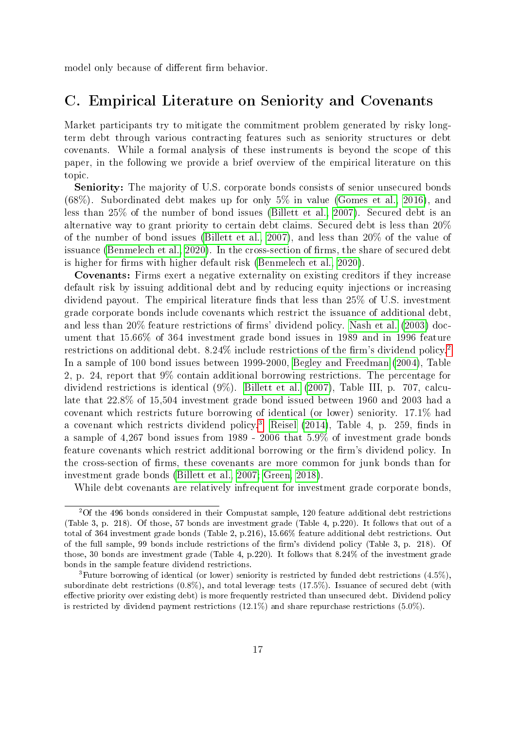model only because of different firm behavior.

# <span id="page-16-0"></span>C. Empirical Literature on Seniority and Covenants

Market participants try to mitigate the commitment problem generated by risky longterm debt through various contracting features such as seniority structures or debt covenants. While a formal analysis of these instruments is beyond the scope of this paper, in the following we provide a brief overview of the empirical literature on this topic.

Seniority: The majority of U.S. corporate bonds consists of senior unsecured bonds (68%). Subordinated debt makes up for only 5% in value [\(Gomes et al., 2016\)](#page-17-4), and less than 25% of the number of bond issues [\(Billett et al., 2007\)](#page-17-5). Secured debt is an alternative way to grant priority to certain debt claims. Secured debt is less than 20% of the number of bond issues [\(Billett et al., 2007\)](#page-17-5), and less than 20% of the value of issuance [\(Benmelech et al., 2020\)](#page-17-6). In the cross-section of firms, the share of secured debt is higher for firms with higher default risk [\(Benmelech et al., 2020\)](#page-17-6).

Covenants: Firms exert a negative externality on existing creditors if they increase default risk by issuing additional debt and by reducing equity injections or increasing dividend payout. The empirical literature finds that less than  $25\%$  of U.S. investment grade corporate bonds include covenants which restrict the issuance of additional debt, and less than  $20\%$  feature restrictions of firms' dividend policy. [Nash et al.](#page-17-7) [\(2003\)](#page-17-7) document that 15.66% of 364 investment grade bond issues in 1989 and in 1996 feature restrictions on additional debt.  $8.24\%$  $8.24\%$  $8.24\%$  include restrictions of the firm's dividend policy.<sup>2</sup> In a sample of 100 bond issues between 1999-2000, [Begley and Freedman](#page-17-8) [\(2004\)](#page-17-8), Table 2, p. 24, report that 9% contain additional borrowing restrictions. The percentage for dividend restrictions is identical (9%). [Billett et al.](#page-17-5) [\(2007\)](#page-17-5), Table III, p. 707, calculate that 22.8% of 15,504 investment grade bond issued between 1960 and 2003 had a covenant which restricts future borrowing of identical (or lower) seniority. 17.1% had a covenant which restricts dividend policy.<sup>[3](#page-16-2)</sup> [Reisel](#page-18-0)  $(2014)$ , Table 4, p. 259, finds in a sample of 4,267 bond issues from 1989 - 2006 that 5.9% of investment grade bonds feature covenants which restrict additional borrowing or the firm's dividend policy. In the cross-section of firms, these covenants are more common for junk bonds than for investment grade bonds [\(Billett et al., 2007;](#page-17-5) [Green, 2018\)](#page-17-9).

While debt covenants are relatively infrequent for investment grade corporate bonds,

<span id="page-16-1"></span> $2$ Of the 496 bonds considered in their Compustat sample, 120 feature additional debt restrictions (Table 3, p. 218). Of those, 57 bonds are investment grade (Table 4, p.220). It follows that out of a total of 364 investment grade bonds (Table 2, p.216), 15.66% feature additional debt restrictions. Out of the full sample, 99 bonds include restrictions of the firm's dividend policy (Table 3, p. 218). Of those, 30 bonds are investment grade (Table 4, p.220). It follows that 8.24% of the investment grade bonds in the sample feature dividend restrictions.

<span id="page-16-2"></span><sup>&</sup>lt;sup>3</sup>Future borrowing of identical (or lower) seniority is restricted by funded debt restrictions  $(4.5\%)$ . subordinate debt restrictions (0.8%), and total leverage tests (17.5%). Issuance of secured debt (with effective priority over existing debt) is more frequently restricted than unsecured debt. Dividend policy is restricted by dividend payment restrictions  $(12.1\%)$  and share repurchase restrictions  $(5.0\%)$ .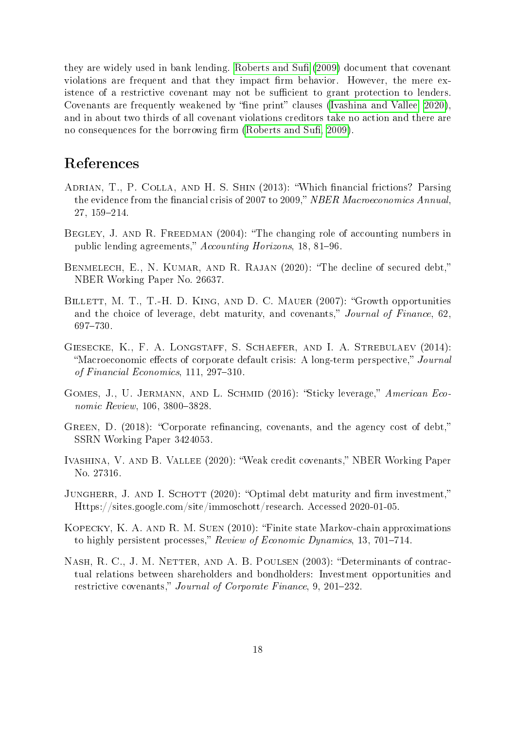they are widely used in bank lending. [Roberts and Su](#page-18-1)fi [\(2009\)](#page-18-1) document that covenant violations are frequent and that they impact firm behavior. However, the mere existence of a restrictive covenant may not be sufficient to grant protection to lenders. Covenants are frequently weakened by "fine print" clauses (Ivashina and Vallee,  $2020$ ), and in about two thirds of all covenant violations creditors take no action and there are no consequences for the borrowing firm (Roberts and Sufi, 2009).

# References

- <span id="page-17-1"></span>ADRIAN, T., P. COLLA, AND H. S. SHIN (2013): "Which financial frictions? Parsing the evidence from the financial crisis of 2007 to 2009," NBER Macroeconomics Annual, 27, 159-214.
- <span id="page-17-8"></span>BEGLEY, J. AND R. FREEDMAN (2004): "The changing role of accounting numbers in public lending agreements," Accounting Horizons, 18, 81-96.
- <span id="page-17-6"></span>BENMELECH, E., N. KUMAR, AND R. RAJAN (2020): "The decline of secured debt," NBER Working Paper No. 26637.
- <span id="page-17-5"></span>BILLETT, M. T., T.-H. D. KING, AND D. C. MAUER (2007): "Growth opportunities and the choice of leverage, debt maturity, and covenants," Journal of Finance,  $62$ , 697-730.
- <span id="page-17-2"></span>Giesecke, K., F. A. Longstaff, S. Schaefer, and I. A. Strebulaev (2014): "Macroeconomic effects of corporate default crisis: A long-term perspective," Journal of Financial Economics,  $111, 297-310$ .
- <span id="page-17-4"></span>GOMES, J., U. JERMANN, AND L. SCHMID (2016): "Sticky leverage," American Economic Review, 106, 3800-3828.
- <span id="page-17-9"></span>GREEN, D. (2018): "Corporate refinancing, covenants, and the agency cost of debt," SSRN Working Paper 3424053.
- <span id="page-17-10"></span>IVASHINA, V. AND B. VALLEE (2020): "Weak credit covenants," NBER Working Paper No. 27316.
- <span id="page-17-3"></span>JUNGHERR, J. AND I. SCHOTT (2020): "Optimal debt maturity and firm investment," Https://sites.google.com/site/immoschott/research. Accessed 2020-01-05.
- <span id="page-17-0"></span>Kopecky, K. A. and R. M. Suen (2010): Finite state Markov-chain approximations to highly persistent processes," Review of Economic Dynamics, 13, 701–714.
- <span id="page-17-7"></span>NASH, R. C., J. M. NETTER, AND A. B. POULSEN (2003): "Determinants of contractual relations between shareholders and bondholders: Investment opportunities and restrictive covenants," Journal of Corporate Finance, 9, 201–232.